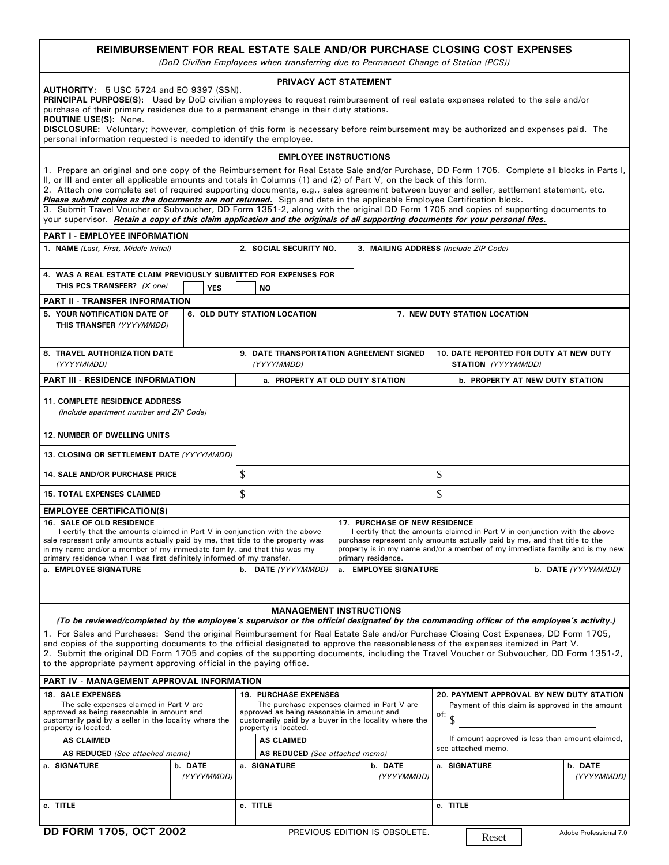|                                                                                                                                                                                                                                                                                                                                                                                                                                                                                                                                                                                                                                                                                                                                                                                                                 |                                                            | REIMBURSEMENT FOR REAL ESTATE SALE AND/OR PURCHASE CLOSING COST EXPENSES<br>(DoD Civilian Employees when transferring due to Permanent Change of Station (PCS))                                                                 |  |                                                                                                                                                                                                                                         |                                                                                                                                                                                    |                                        |  |            |
|-----------------------------------------------------------------------------------------------------------------------------------------------------------------------------------------------------------------------------------------------------------------------------------------------------------------------------------------------------------------------------------------------------------------------------------------------------------------------------------------------------------------------------------------------------------------------------------------------------------------------------------------------------------------------------------------------------------------------------------------------------------------------------------------------------------------|------------------------------------------------------------|---------------------------------------------------------------------------------------------------------------------------------------------------------------------------------------------------------------------------------|--|-----------------------------------------------------------------------------------------------------------------------------------------------------------------------------------------------------------------------------------------|------------------------------------------------------------------------------------------------------------------------------------------------------------------------------------|----------------------------------------|--|------------|
| <b>AUTHORITY:</b> 5 USC 5724 and EO 9397 (SSN).<br>PRINCIPAL PURPOSE(S): Used by DoD civilian employees to request reimbursement of real estate expenses related to the sale and/or<br>purchase of their primary residence due to a permanent change in their duty stations.<br>ROUTINE USE(S): None.<br>DISCLOSURE: Voluntary; however, completion of this form is necessary before reimbursement may be authorized and expenses paid. The                                                                                                                                                                                                                                                                                                                                                                     |                                                            | PRIVACY ACT STATEMENT                                                                                                                                                                                                           |  |                                                                                                                                                                                                                                         |                                                                                                                                                                                    |                                        |  |            |
| personal information requested is needed to identify the employee.                                                                                                                                                                                                                                                                                                                                                                                                                                                                                                                                                                                                                                                                                                                                              |                                                            |                                                                                                                                                                                                                                 |  |                                                                                                                                                                                                                                         |                                                                                                                                                                                    |                                        |  |            |
|                                                                                                                                                                                                                                                                                                                                                                                                                                                                                                                                                                                                                                                                                                                                                                                                                 |                                                            | <b>EMPLOYEE INSTRUCTIONS</b>                                                                                                                                                                                                    |  |                                                                                                                                                                                                                                         |                                                                                                                                                                                    |                                        |  |            |
| 1. Prepare an original and one copy of the Reimbursement for Real Estate Sale and/or Purchase, DD Form 1705. Complete all blocks in Parts I,<br>II, or III and enter all applicable amounts and totals in Columns (1) and (2) of Part V, on the back of this form.<br>2. Attach one complete set of required supporting documents, e.g., sales agreement between buyer and seller, settlement statement, etc.<br>Please submit copies as the documents are not returned. Sign and date in the applicable Employee Certification block.<br>3. Submit Travel Voucher or Subvoucher, DD Form 1351-2, along with the original DD Form 1705 and copies of supporting documents to<br>your supervisor. Retain a copy of this claim application and the originals of all supporting documents for your personal files. |                                                            |                                                                                                                                                                                                                                 |  |                                                                                                                                                                                                                                         |                                                                                                                                                                                    |                                        |  |            |
| <b>PART I - EMPLOYEE INFORMATION</b>                                                                                                                                                                                                                                                                                                                                                                                                                                                                                                                                                                                                                                                                                                                                                                            |                                                            |                                                                                                                                                                                                                                 |  |                                                                                                                                                                                                                                         |                                                                                                                                                                                    |                                        |  |            |
| 1. NAME (Last, First, Middle Initial)                                                                                                                                                                                                                                                                                                                                                                                                                                                                                                                                                                                                                                                                                                                                                                           |                                                            | 2. SOCIAL SECURITY NO.                                                                                                                                                                                                          |  |                                                                                                                                                                                                                                         | 3. MAILING ADDRESS (Include ZIP Code)                                                                                                                                              |                                        |  |            |
| 4. WAS A REAL ESTATE CLAIM PREVIOUSLY SUBMITTED FOR EXPENSES FOR<br>THIS PCS TRANSFER? (X one)                                                                                                                                                                                                                                                                                                                                                                                                                                                                                                                                                                                                                                                                                                                  | <b>YES</b>                                                 | <b>NO</b>                                                                                                                                                                                                                       |  |                                                                                                                                                                                                                                         |                                                                                                                                                                                    |                                        |  |            |
| <b>PART II - TRANSFER INFORMATION</b>                                                                                                                                                                                                                                                                                                                                                                                                                                                                                                                                                                                                                                                                                                                                                                           |                                                            |                                                                                                                                                                                                                                 |  |                                                                                                                                                                                                                                         |                                                                                                                                                                                    |                                        |  |            |
| 5. YOUR NOTIFICATION DATE OF<br>THIS TRANSFER (YYYYMMDD)                                                                                                                                                                                                                                                                                                                                                                                                                                                                                                                                                                                                                                                                                                                                                        |                                                            | 6. OLD DUTY STATION LOCATION                                                                                                                                                                                                    |  |                                                                                                                                                                                                                                         |                                                                                                                                                                                    | 7. NEW DUTY STATION LOCATION           |  |            |
| 8. TRAVEL AUTHORIZATION DATE<br>(YYYYMMDD)                                                                                                                                                                                                                                                                                                                                                                                                                                                                                                                                                                                                                                                                                                                                                                      | 9. DATE TRANSPORTATION AGREEMENT SIGNED<br>(YYYYMMDD)      |                                                                                                                                                                                                                                 |  |                                                                                                                                                                                                                                         | 10. DATE REPORTED FOR DUTY AT NEW DUTY<br>STATION (YYYYMMDD)                                                                                                                       |                                        |  |            |
| <b>PART III - RESIDENCE INFORMATION</b>                                                                                                                                                                                                                                                                                                                                                                                                                                                                                                                                                                                                                                                                                                                                                                         |                                                            | a. PROPERTY AT OLD DUTY STATION                                                                                                                                                                                                 |  |                                                                                                                                                                                                                                         |                                                                                                                                                                                    | <b>b. PROPERTY AT NEW DUTY STATION</b> |  |            |
| <b>11. COMPLETE RESIDENCE ADDRESS</b><br>(Include apartment number and ZIP Code)                                                                                                                                                                                                                                                                                                                                                                                                                                                                                                                                                                                                                                                                                                                                |                                                            |                                                                                                                                                                                                                                 |  |                                                                                                                                                                                                                                         |                                                                                                                                                                                    |                                        |  |            |
| <b>12. NUMBER OF DWELLING UNITS</b>                                                                                                                                                                                                                                                                                                                                                                                                                                                                                                                                                                                                                                                                                                                                                                             |                                                            |                                                                                                                                                                                                                                 |  |                                                                                                                                                                                                                                         |                                                                                                                                                                                    |                                        |  |            |
| 13. CLOSING OR SETTLEMENT DATE (YYYYMMDD)                                                                                                                                                                                                                                                                                                                                                                                                                                                                                                                                                                                                                                                                                                                                                                       |                                                            |                                                                                                                                                                                                                                 |  |                                                                                                                                                                                                                                         |                                                                                                                                                                                    |                                        |  |            |
| <b>14. SALE AND/OR PURCHASE PRICE</b>                                                                                                                                                                                                                                                                                                                                                                                                                                                                                                                                                                                                                                                                                                                                                                           |                                                            | \$                                                                                                                                                                                                                              |  |                                                                                                                                                                                                                                         |                                                                                                                                                                                    | \$                                     |  |            |
| <b>15. TOTAL EXPENSES CLAIMED</b>                                                                                                                                                                                                                                                                                                                                                                                                                                                                                                                                                                                                                                                                                                                                                                               |                                                            | \$                                                                                                                                                                                                                              |  |                                                                                                                                                                                                                                         |                                                                                                                                                                                    | \$                                     |  |            |
| <b>EMPLOYEE CERTIFICATION(S)</b>                                                                                                                                                                                                                                                                                                                                                                                                                                                                                                                                                                                                                                                                                                                                                                                |                                                            |                                                                                                                                                                                                                                 |  |                                                                                                                                                                                                                                         |                                                                                                                                                                                    |                                        |  |            |
| <b>16. SALE OF OLD RESIDENCE</b><br>I certify that the amounts claimed in Part V in conjunction with the above<br>sale represent only amounts actually paid by me, that title to the property was<br>in my name and/or a member of my immediate family, and that this was my<br>primary residence when I was first definitely informed of my transfer.                                                                                                                                                                                                                                                                                                                                                                                                                                                          | <b>17. PURCHASE OF NEW RESIDENCE</b><br>primary residence. |                                                                                                                                                                                                                                 |  | I certify that the amounts claimed in Part V in conjunction with the above<br>purchase represent only amounts actually paid by me, and that title to the<br>property is in my name and/or a member of my immediate family and is my new |                                                                                                                                                                                    |                                        |  |            |
| a. EMPLOYEE SIGNATURE                                                                                                                                                                                                                                                                                                                                                                                                                                                                                                                                                                                                                                                                                                                                                                                           |                                                            | a. EMPLOYEE SIGNATURE<br>b. DATE (YYYYMMDD)                                                                                                                                                                                     |  |                                                                                                                                                                                                                                         | b. DATE (YYYYMMDD)                                                                                                                                                                 |                                        |  |            |
|                                                                                                                                                                                                                                                                                                                                                                                                                                                                                                                                                                                                                                                                                                                                                                                                                 |                                                            | <b>MANAGEMENT INSTRUCTIONS</b>                                                                                                                                                                                                  |  |                                                                                                                                                                                                                                         |                                                                                                                                                                                    |                                        |  |            |
| (To be reviewed/completed by the employee's supervisor or the official designated by the commanding officer of the employee's activity.)<br>1. For Sales and Purchases: Send the original Reimbursement for Real Estate Sale and/or Purchase Closing Cost Expenses, DD Form 1705,<br>and copies of the supporting documents to the official designated to approve the reasonableness of the expenses itemized in Part V.<br>2. Submit the original DD Form 1705 and copies of the supporting documents, including the Travel Voucher or Subvoucher, DD Form 1351-2,<br>to the appropriate payment approving official in the paying office.                                                                                                                                                                      |                                                            |                                                                                                                                                                                                                                 |  |                                                                                                                                                                                                                                         |                                                                                                                                                                                    |                                        |  |            |
| <b>PART IV - MANAGEMENT APPROVAL INFORMATION</b>                                                                                                                                                                                                                                                                                                                                                                                                                                                                                                                                                                                                                                                                                                                                                                |                                                            |                                                                                                                                                                                                                                 |  |                                                                                                                                                                                                                                         |                                                                                                                                                                                    |                                        |  |            |
| <b>18. SALE EXPENSES</b><br>The sale expenses claimed in Part V are<br>approved as being reasonable in amount and<br>customarily paid by a seller in the locality where the<br>property is located.<br><b>AS CLAIMED</b>                                                                                                                                                                                                                                                                                                                                                                                                                                                                                                                                                                                        |                                                            | <b>19. PURCHASE EXPENSES</b><br>The purchase expenses claimed in Part V are<br>approved as being reasonable in amount and<br>customarily paid by a buyer in the locality where the<br>property is located.<br><b>AS CLAIMED</b> |  |                                                                                                                                                                                                                                         | <b>20. PAYMENT APPROVAL BY NEW DUTY STATION</b><br>Payment of this claim is approved in the amount<br>of:<br>If amount approved is less than amount claimed,<br>see attached memo. |                                        |  |            |
| AS REDUCED (See attached memo)<br>a. SIGNATURE                                                                                                                                                                                                                                                                                                                                                                                                                                                                                                                                                                                                                                                                                                                                                                  | b. DATE                                                    | AS REDUCED (See attached memo)<br>a. SIGNATURE                                                                                                                                                                                  |  | b. DATE                                                                                                                                                                                                                                 |                                                                                                                                                                                    | a. SIGNATURE                           |  | b. DATE    |
|                                                                                                                                                                                                                                                                                                                                                                                                                                                                                                                                                                                                                                                                                                                                                                                                                 | (YYYYMMDD)                                                 |                                                                                                                                                                                                                                 |  |                                                                                                                                                                                                                                         | (YYYYMMDD)                                                                                                                                                                         |                                        |  | (YYYYMMDD) |
| c. TITLE                                                                                                                                                                                                                                                                                                                                                                                                                                                                                                                                                                                                                                                                                                                                                                                                        |                                                            | c. TITLE                                                                                                                                                                                                                        |  |                                                                                                                                                                                                                                         |                                                                                                                                                                                    | c. TITLE                               |  |            |

T